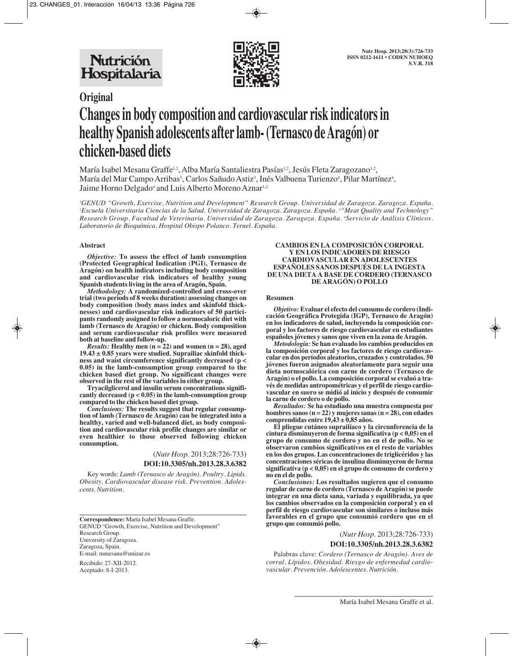

# **Original Changes in body composition and cardiovascular risk indicators in healthy Spanish adolescents after lamb- (Ternasco de Aragón) or chicken-based diets**

María Isabel Mesana Graffe<sup>1,2</sup>, Alba María Santaliestra Pasías<sup>1,2</sup>, Jesús Fleta Zaragozano<sup>1,2</sup>, María del Mar Campo Arribas<sup>3</sup>, Carlos Sañudo Astiz<sup>3</sup>, Inés Valbuena Turienzo<sup>4</sup>, Pilar Martínez<sup>4</sup>, Jaime Horno Delgado<sup>4</sup> and Luis Alberto Moreno Aznar<sup>1,2</sup>

*1 GENUD "Growth, Exercise, Nutrition and Development" Research Group. Universidad de Zaragoza. Zaragoza. España. 2 Escuela Universitaria Ciencias de la Salud. Universidad de Zaragoza. Zaragoza. España. 3 "Meat Quality and Technology" Research Group. Facultad de Veterinaria. Universidad de Zaragoza. Zaragoza. España. 4 Servicio de Análisis Clínicos. Laboratorio de Bioquímica. Hospital Obispo Polanco. Teruel. España.*

#### **Abstract**

*Objective:* **To assess the effect of lamb consumption (Protected Geographical Indication (PGI), Ternasco de Aragón) on health indicators including body composition and cardiovascular risk indicators of healthy young Spanish students living in the area of Aragón, Spain.**

*Methodology:* **A randomized-controlled and cross-over trial (two periods of 8 weeks duration) assessing changes on body composition (body mass index and skinfold thicknesses) and cardiovascular risk indicators of 50 participants randomly assigned to follow a normocaloric diet with lamb (Ternasco de Aragón) or chicken. Body composition and serum cardiovascular risk profiles were measured both at baseline and follow-up.** 

*Results:* **Healthy men (n = 22) and women (n = 28), aged 19.43 ± 0.85 years were studied. Suprailiac skinfold thickness and waist circumference significantly decreased (p < 0.05) in the lamb-consumption group compared to the chicken based diet group. No significant changes were observed in the rest of the variables in either group.** 

**Tryacilglicerol and insulin serum concentrations significantly decreased (p < 0.05) in the lamb-consumption group compared to the chicken based diet group.** 

*Conclusions:* **The results suggest that regular consumption of lamb (Ternasco de Aragón) can be integrated into a healthy, varied and well-balanced diet, as body composition and cardiovascular risk profile changes are similar or even healthier to those observed following chicken consumption.**

(*Nutr Hosp.* 2013;28:726-733)

**DOI:10.3305/nh.2013.28.3.6382**

Key words: *Lamb (Ternasco de Aragón). Poultry. Lipids. Obesity. Cardiovascular disease risk. Prevention. Adolescents. Nutrition.*

**Correspondence:** María Isabel Mesana Graffe. GENUD "Growth, Exercise, Nutrition and Development" Research Group. University of Zaragoza. Zaragoza, Spain. E-mail: mmesana@unizar.es

Recibido: 27-XII-2012. Aceptado: 8-I-2013.

#### **CAMBIOS EN LA COMPOSICIÓN CORPORAL Y EN LOS INDICADORES DE RIESGO CARDIOVASCULAR EN ADOLESCENTES ESPAÑOLES SANOS DESPUÉS DE LA INGESTA DE UNA DIETA A BASE DE CORDERO (TERNASCO DE ARAGÓN) O POLLO**

#### **Resumen**

*Objetivo:* **Evaluar el efecto del consumo de cordero (Indicación Geográfica Protegida (IGP), Ternasco de Aragón) en los indicadores de salud, incluyendo la composición corporal y los factores de riesgo cardiovascular en estudiantes españoles jóvenes y sanos que viven en la zona de Aragón.** 

*Metodología:* **Se han evaluado los cambios producidos en la composición corporal y los factores de riesgo cardiovascular en dos períodos aleatorios, cruzados y controlados. 50 jóvenes fueron asignados aleatoriamente para seguir una dieta normocalórica con carne de cordero (Ternasco de Aragón) o el pollo. La composición corporal se evaluó a través de medidas antropométricas y el perfil de riesgo cardiovascular en suero se midió al inicio y después de consumir la carne de cordero o de pollo.**

*Resultados:* **Se ha estudiado una muestra compuesta por hombres sanos (n = 22) y mujeres sanas (n = 28), con edades comprendidas entre 19,43 ± 0,85 años.**

**El pliegue cutáneo suprailíaco y la circunferencia de la cintura disminuyeron de forma significativa (p < 0,05) en el grupo de consumo de cordero y no en el de pollo. No se observaron cambios significativos en el resto de variables en los dos grupos. Las concentraciones de triglicéridos y las concentraciones séricas de insulina disminuyeron de forma significativa (p < 0,05) en el grupo de consumo de cordero y no en el de pollo.**

*Conclusiones:* **Los resultados sugieren que el consumo regular de carne de cordero (Ternasco de Aragón) se puede integrar en una dieta sana, variada y equilibrada, ya que los cambios observados en la composición corporal y en el perfil de riesgo cardiovascular son similares o incluso más favorables en el grupo que consumió cordero que en el grupo que consumió pollo.**

> (*Nutr Hosp.* 2013;28:726-733) **DOI:10.3305/nh.2013.28.3.6382**

Palabras clave: *Cordero (Ternasco de Aragón). Aves de corral. Lípidos. Obesidad. Riesgo de enfermedad cardiovascular. Prevención. Adolescentes. Nutrición.*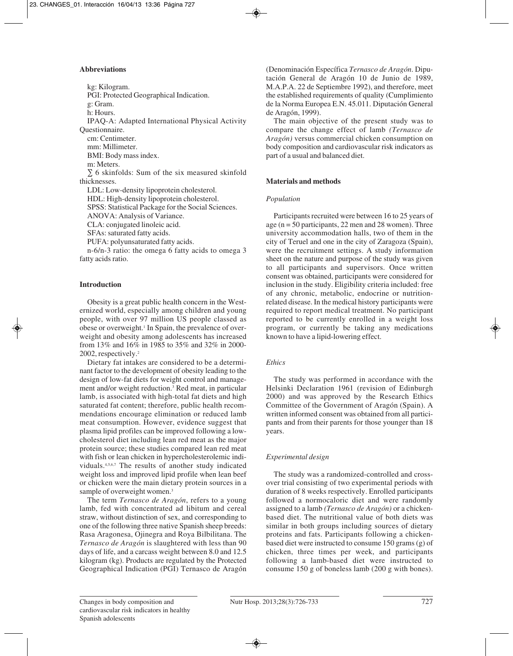# **Abbreviations**

kg: Kilogram. PGI: Protected Geographical Indication. g: Gram. h: Hours. IPAQ-A: Adapted International Physical Activity Questionnaire. cm: Centimeter. mm: Millimeter. BMI: Body mass index. m: Meters. ∑ 6 skinfolds: Sum of the six measured skinfold thicknesses. LDL: Low-density lipoprotein cholesterol. HDL: High-density lipoprotein cholesterol. SPSS: Statistical Package for the Social Sciences. ANOVA: Analysis of Variance. CLA: conjugated linoleic acid. SFAs: saturated fatty acids. PUFA: polyunsaturated fatty acids. n-6/n-3 ratio: the omega 6 fatty acids to omega 3

# **Introduction**

fatty acids ratio.

Obesity is a great public health concern in the Westernized world, especially among children and young people, with over 97 million US people classed as obese or overweight.<sup>1</sup> In Spain, the prevalence of overweight and obesity among adolescents has increased from 13% and 16% in 1985 to 35% and 32% in 2000- 2002, respectively.2

Dietary fat intakes are considered to be a determinant factor to the development of obesity leading to the design of low-fat diets for weight control and management and/or weight reduction.3 Red meat, in particular lamb, is associated with high-total fat diets and high saturated fat content; therefore, public health recommendations encourage elimination or reduced lamb meat consumption. However, evidence suggest that plasma lipid profiles can be improved following a lowcholesterol diet including lean red meat as the major protein source; these studies compared lean red meat with fish or lean chicken in hypercholesterolemic individuals.4,5,6,7 The results of another study indicated weight loss and improved lipid profile when lean beef or chicken were the main dietary protein sources in a sample of overweight women.<sup>3</sup>

The term *Ternasco de Aragón*, refers to a young lamb, fed with concentrated ad libitum and cereal straw, without distinction of sex, and corresponding to one of the following three native Spanish sheep breeds: Rasa Aragonesa, Ojinegra and Roya Bilbilitana. The *Ternasco de Aragón* is slaughtered with less than 90 days of life, and a carcass weight between 8.0 and 12.5 kilogram (kg). Products are regulated by the Protected Geographical Indication (PGI) Ternasco de Aragón

(Denominación Específica *Ternasco de Aragón*. Diputación General de Aragón 10 de Junio de 1989, M.A.P.A. 22 de Septiembre 1992), and therefore, meet the established requirements of quality (Cumplimiento de la Norma Europea E.N. 45.011. Diputación General de Aragón, 1999).

The main objective of the present study was to compare the change effect of lamb *(Ternasco de Aragón)* versus commercial chicken consumption on body composition and cardiovascular risk indicators as part of a usual and balanced diet.

# **Materials and methods**

# *Population*

Participants recruited were between 16 to 25 years of age ( $n = 50$  participants, 22 men and 28 women). Three university accommodation halls, two of them in the city of Teruel and one in the city of Zaragoza (Spain), were the recruitment settings. A study information sheet on the nature and purpose of the study was given to all participants and supervisors. Once written consent was obtained, participants were considered for inclusion in the study. Eligibility criteria included: free of any chronic, metabolic, endocrine or nutritionrelated disease. In the medical history participants were required to report medical treatment. No participant reported to be currently enrolled in a weight loss program, or currently be taking any medications known to have a lipid-lowering effect.

# *Ethics*

The study was performed in accordance with the Helsinki Declaration 1961 (revision of Edinburgh 2000) and was approved by the Research Ethics Committee of the Government of Aragón (Spain). A written informed consent was obtained from all participants and from their parents for those younger than 18 years.

# *Experimental design*

The study was a randomized-controlled and crossover trial consisting of two experimental periods with duration of 8 weeks respectively. Enrolled participants followed a normocaloric diet and were randomly assigned to a lamb *(Ternasco de Aragón)* or a chickenbased diet. The nutritional value of both diets was similar in both groups including sources of dietary proteins and fats. Participants following a chickenbased diet were instructed to consume 150 grams (g) of chicken, three times per week, and participants following a lamb-based diet were instructed to consume 150 g of boneless lamb (200 g with bones).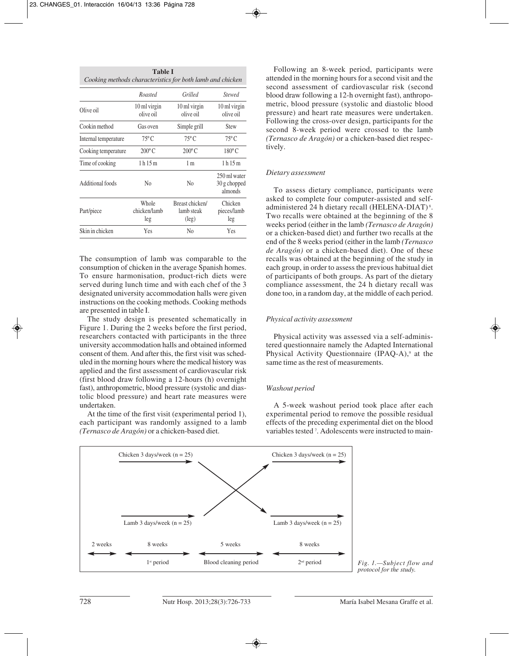| <b>Table I</b><br>Cooking methods characteristics for both lamb and chicken |                              |                                                 |                                         |  |
|-----------------------------------------------------------------------------|------------------------------|-------------------------------------------------|-----------------------------------------|--|
|                                                                             | Roasted                      | Grilled                                         | <b>Stewed</b>                           |  |
| Olive oil                                                                   | 10 ml virgin<br>olive oil    | 10 ml virgin<br>olive oil                       | 10 ml virgin<br>olive oil               |  |
| Cookin method                                                               | Gas oven                     | Simple grill                                    | <b>Stew</b>                             |  |
| Internal temperature                                                        | $75^{\circ}$ C               | $75^{\circ}$ C                                  | $75^{\circ}$ C                          |  |
| Cooking temperature                                                         | $200^{\circ}$ C              | $200^{\circ}$ C                                 | $180^{\circ}$ C                         |  |
| Time of cooking                                                             | 1 h 15 m                     | 1 <sub>m</sub>                                  | 1 h 15 m                                |  |
| Additional foods                                                            | No                           | N <sub>0</sub>                                  | 250 ml water<br>30 g chopped<br>almonds |  |
| Part/piece                                                                  | Whole<br>chicken/lamb<br>leg | Breast chicken/<br>lamb steak<br>$(\text{leg})$ | Chicken<br>pieces/lamb<br>leg           |  |
| Skin in chicken                                                             | Yes                          | N <sub>0</sub>                                  | Yes                                     |  |

The consumption of lamb was comparable to the consumption of chicken in the average Spanish homes. To ensure harmonisation, product-rich diets were served during lunch time and with each chef of the 3 designated university accommodation halls were given instructions on the cooking methods. Cooking methods are presented in table I.

The study design is presented schematically in Figure 1. During the 2 weeks before the first period, researchers contacted with participants in the three university accommodation halls and obtained informed consent of them. And after this, the first visit was scheduled in the morning hours where the medical history was applied and the first assessment of cardiovascular risk (first blood draw following a 12-hours (h) overnight fast), anthropometric, blood pressure (systolic and diastolic blood pressure) and heart rate measures were undertaken.

At the time of the first visit (experimental period 1), each participant was randomly assigned to a lamb *(Ternasco de Aragón)* or a chicken-based diet.

Following an 8-week period, participants were attended in the morning hours for a second visit and the second assessment of cardiovascular risk (second blood draw following a 12-h overnight fast), anthropometric, blood pressure (systolic and diastolic blood pressure) and heart rate measures were undertaken. Following the cross-over design, participants for the second 8-week period were crossed to the lamb *(Ternasco de Aragón)* or a chicken-based diet respectively.

## *Dietary assessment*

To assess dietary compliance, participants were asked to complete four computer-assisted and selfadministered 24 h dietary recall (HELENA-DIAT) <sup>8</sup> . Two recalls were obtained at the beginning of the 8 weeks period (either in the lamb *(Ternasco de Aragón)* or a chicken-based diet) and further two recalls at the end of the 8 weeks period (either in the lamb *(Ternasco de Aragón)* or a chicken-based diet). One of these recalls was obtained at the beginning of the study in each group, in order to assess the previous habitual diet of participants of both groups. As part of the dietary compliance assessment, the 24 h dietary recall was done too, in a random day, at the middle of each period.

#### *Physical activity assessment*

Physical activity was assessed via a self-administered questionnaire namely the Adapted International Physical Activity Questionnaire (IPAQ-A),<sup>9</sup> at the same time as the rest of measurements.

#### *Washout period*

A 5-week washout period took place after each experimental period to remove the possible residual effects of the preceding experimental diet on the blood variables tested<sup>7</sup>. Adolescents were instructed to main-



*Fig. 1.—Subject flow and protocol for the study.*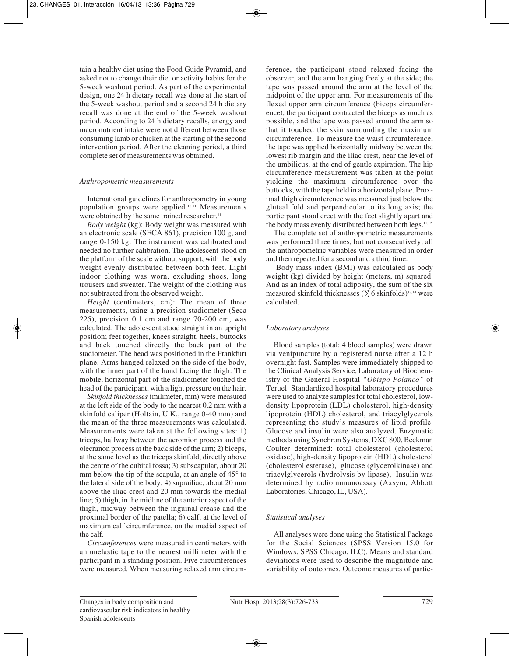tain a healthy diet using the Food Guide Pyramid, and asked not to change their diet or activity habits for the 5-week washout period. As part of the experimental design, one 24 h dietary recall was done at the start of the 5-week washout period and a second 24 h dietary recall was done at the end of the 5-week washout period. According to 24 h dietary recalls, energy and macronutrient intake were not different between those consuming lamb or chicken at the starting of the second intervention period. After the cleaning period, a third complete set of measurements was obtained.

# *Anthropometric measurements*

International guidelines for anthropometry in young population groups were applied.10,11 Measurements were obtained by the same trained researcher.<sup>11</sup>

*Body weight* (kg): Body weight was measured with an electronic scale (SECA 861), precision 100 g, and range 0-150 kg. The instrument was calibrated and needed no further calibration. The adolescent stood on the platform of the scale without support, with the body weight evenly distributed between both feet. Light indoor clothing was worn, excluding shoes, long trousers and sweater. The weight of the clothing was not subtracted from the observed weight.

*Height* (centimeters, cm): The mean of three measurements, using a precision stadiometer (Seca 225), precision 0.1 cm and range 70-200 cm, was calculated. The adolescent stood straight in an upright position; feet together, knees straight, heels, buttocks and back touched directly the back part of the stadiometer. The head was positioned in the Frankfurt plane. Arms hanged relaxed on the side of the body, with the inner part of the hand facing the thigh. The mobile, horizontal part of the stadiometer touched the head of the participant, with a light pressure on the hair.

*Skinfold thicknesses* (milimeter, mm) were measured at the left side of the body to the nearest 0.2 mm with a skinfold caliper (Holtain, U.K., range 0-40 mm) and the mean of the three measurements was calculated. Measurements were taken at the following sites: 1) triceps, halfway between the acromion process and the olecranon process at the back side of the arm; 2) biceps, at the same level as the triceps skinfold, directly above the centre of the cubital fossa; 3) subscapular, about 20 mm below the tip of the scapula, at an angle of  $45^{\circ}$  to the lateral side of the body; 4) suprailiac, about 20 mm above the iliac crest and 20 mm towards the medial line; 5) thigh, in the midline of the anterior aspect of the thigh, midway between the inguinal crease and the proximal border of the patella; 6) calf, at the level of maximum calf circumference, on the medial aspect of the calf.

*Circumferences* were measured in centimeters with an unelastic tape to the nearest millimeter with the participant in a standing position. Five circumferences were measured. When measuring relaxed arm circumference, the participant stood relaxed facing the observer, and the arm hanging freely at the side; the tape was passed around the arm at the level of the midpoint of the upper arm. For measurements of the flexed upper arm circumference (biceps circumference), the participant contracted the biceps as much as possible, and the tape was passed around the arm so that it touched the skin surrounding the maximum circumference. To measure the waist circumference, the tape was applied horizontally midway between the lowest rib margin and the iliac crest, near the level of the umbilicus, at the end of gentle expiration. The hip circumference measurement was taken at the point yielding the maximum circumference over the buttocks, with the tape held in a horizontal plane. Proximal thigh circumference was measured just below the gluteal fold and perpendicular to its long axis; the participant stood erect with the feet slightly apart and the body mass evenly distributed between both legs.<sup>11,12</sup>

The complete set of anthropometric measurements was performed three times, but not consecutively; all the anthropometric variables were measured in order and then repeated for a second and a third time.

Body mass index (BMI) was calculated as body weight (kg) divided by height (meters, m) squared. And as an index of total adiposity, the sum of the six measured skinfold thicknesses ( $\Sigma$  6 skinfolds)<sup>13,14</sup> were calculated.

# *Laboratory analyses*

Blood samples (total: 4 blood samples) were drawn via venipuncture by a registered nurse after a 12 h overnight fast. Samples were immediately shipped to the Clinical Analysis Service, Laboratory of Biochemistry of the General Hospital *"Obispo Polanco"* of Teruel. Standardized hospital laboratory procedures were used to analyze samples for total cholesterol, lowdensity lipoprotein (LDL) cholesterol, high-density lipoprotein (HDL) cholesterol, and triacylglycerols representing the study's measures of lipid profile. Glucose and insulin were also analyzed. Enzymatic methods using Synchron Systems, DXC 800, Beckman Coulter determined: total cholesterol (cholesterol oxidase), high-density lipoprotein (HDL) cholesterol (cholesterol esterase), glucose (glycerolkinase) and triacylglycerols (hydrolysis by lipase), Insulin was determined by radioimmunoassay (Axsym, Abbott Laboratories, Chicago, IL, USA).

# *Statistical analyses*

All analyses were done using the Statistical Package for the Social Sciences (SPSS Version 15.0 for Windows; SPSS Chicago, ILC). Means and standard deviations were used to describe the magnitude and variability of outcomes. Outcome measures of partic-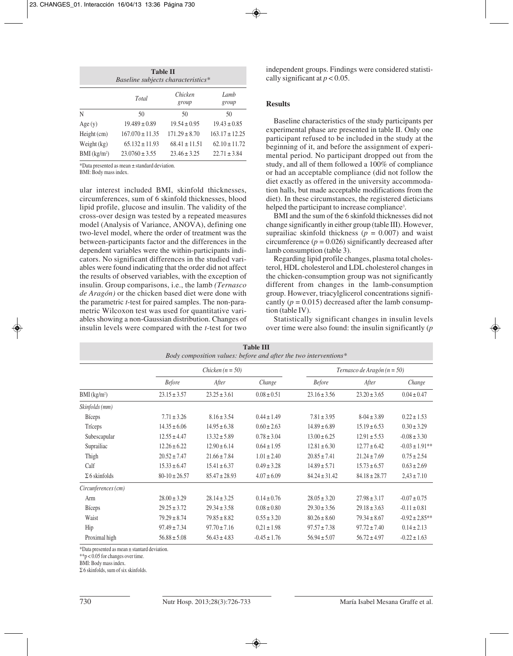| <b>Table II</b><br>Baseline subjects characteristics* |                     |                   |                    |  |  |
|-------------------------------------------------------|---------------------|-------------------|--------------------|--|--|
| Chicken<br>Lamb<br>Total<br>group<br>group            |                     |                   |                    |  |  |
| N                                                     | 50                  | 50                | 50                 |  |  |
| Age(y)                                                | $19.489 \pm 0.89$   | $19.54 \pm 0.95$  | $19.43 \pm 0.85$   |  |  |
| $Height$ (cm)                                         | $167.070 \pm 11.35$ | $171.29 \pm 8.70$ | $163.17 \pm 12.25$ |  |  |
| Weight $(kg)$                                         | $65.132 \pm 11.93$  | $68.41 \pm 11.51$ | $62.10 \pm 11.72$  |  |  |
| $BMI$ (kg/m <sup>2</sup> )                            | $23.0760 \pm 3.55$  | $23.46 \pm 3.25$  | $22.71 \pm 3.84$   |  |  |

\*Data presented as mean ± standard deviation.

BMI: Body mass index.

ular interest included BMI, skinfold thicknesses, circumferences, sum of 6 skinfold thicknesses, blood lipid profile, glucose and insulin. The validity of the cross-over design was tested by a repeated measures model (Analysis of Variance, ANOVA), defining one two-level model, where the order of treatment was the between-participants factor and the differences in the dependent variables were the within-participants indicators. No significant differences in the studied variables were found indicating that the order did not affect the results of observed variables, with the exception of insulin. Group comparisons, i.e., the lamb *(Ternasco de Aragón)* or the chicken based diet were done with the parametric *t*-test for paired samples. The non-parametric Wilcoxon test was used for quantitative variables showing a non-Gaussian distribution. Changes of insulin levels were compared with the *t*-test for two

independent groups. Findings were considered statistically significant at  $p < 0.05$ .

## **Results**

Baseline characteristics of the study participants per experimental phase are presented in table II. Only one participant refused to be included in the study at the beginning of it, and before the assignment of experimental period. No participant dropped out from the study, and all of them followed a 100% of compliance or had an acceptable compliance (did not follow the diet exactly as offered in the university accommodation halls, but made acceptable modifications from the diet). In these circumstances, the registered dieticians helped the participant to increase compliance<sup>3</sup>.

BMI and the sum of the 6 skinfold thicknesses did not change significantly in either group (table III). However, suprailiac skinfold thickness ( $p = 0.007$ ) and waist circumference  $(p = 0.026)$  significantly decreased after lamb consumption (table 3).

Regarding lipid profile changes, plasma total cholesterol, HDL cholesterol and LDL cholesterol changes in the chicken-consumption group was not significantly different from changes in the lamb-consumption group. However, triacylglicerol concentrations significantly  $(p = 0.015)$  decreased after the lamb consumption (table IV).

Statistically significant changes in insulin levels over time were also found: the insulin significantly (*p*

| Body composition values: before and after the two interventions* |                   |                    |                  |                   |                                 |                     |  |
|------------------------------------------------------------------|-------------------|--------------------|------------------|-------------------|---------------------------------|---------------------|--|
|                                                                  |                   | Chicken $(n = 50)$ |                  |                   | Ternasco de Aragón ( $n = 50$ ) |                     |  |
|                                                                  | <b>Before</b>     | After              | Change           | <b>Before</b>     | After                           | Change              |  |
| $BMI$ (kg/m <sup>2</sup> )                                       | $23.15 \pm 3.57$  | $23.25 \pm 3.61$   | $0.08 \pm 0.51$  | $23.16 \pm 3.56$  | $23.20 \pm 3.65$                | $0.04 \pm 0.47$     |  |
| Skinfolds (mm)                                                   |                   |                    |                  |                   |                                 |                     |  |
| <b>B</b> iceps                                                   | $7.71 \pm 3.26$   | $8.16 \pm 3.54$    | $0.44 \pm 1.49$  | $7.81 \pm 3.95$   | $8-04 \pm 3.89$                 | $0.22 \pm 1.53$     |  |
| Tríceps                                                          | $14.35 \pm 6.06$  | $14.95 \pm 6.38$   | $0.60 \pm 2.63$  | $14.89 \pm 6.89$  | $15.19 \pm 6.53$                | $0.30 \pm 3.29$     |  |
| Subescapular                                                     | $12.55 \pm 4.47$  | $13.32 \pm 5.89$   | $0.78 \pm 3.04$  | $13.00 \pm 6.25$  | $12.91 \pm 5.53$                | $-0.08 \pm 3.30$    |  |
| Suprailiac                                                       | $12.26 \pm 6.22$  | $12.90 \pm 6.14$   | $0.64 \pm 1.95$  | $12.81 \pm 6.30$  | $12.77 \pm 6.42$                | $-0.03 \pm 1.91$ ** |  |
| Thigh                                                            | $20.52 \pm 7.47$  | $21.66 \pm 7.84$   | $1.01 \pm 2.40$  | $20.85 \pm 7.41$  | $21.24 \pm 7.69$                | $0.75 \pm 2.54$     |  |
| Calf                                                             | $15.33 \pm 6.47$  | $15.41 \pm 6.37$   | $0.49 \pm 3.28$  | $14.89 \pm 5.71$  | $15.73 \pm 6.57$                | $0.63 \pm 2.69$     |  |
| $\Sigma$ 6 skinfolds                                             | $80-10 \pm 26.57$ | $85.47 \pm 28.93$  | $4.07 \pm 6.09$  | $84.24 \pm 31.42$ | $84.18 \pm 28.77$               | $2,43 \pm 7.10$     |  |
| Circunferences (cm)                                              |                   |                    |                  |                   |                                 |                     |  |
| Arm                                                              | $28.00 \pm 3.29$  | $28.14 \pm 3.25$   | $0.14 \pm 0.76$  | $28.05 \pm 3.20$  | $27.98 \pm 3.17$                | $-0.07 \pm 0.75$    |  |
| <b>B</b> iceps                                                   | $29.25 \pm 3.72$  | $29.34 \pm 3.58$   | $0.08 \pm 0.80$  | $29.30 \pm 3.56$  | $29.18 \pm 3.63$                | $-0.11 \pm 0.81$    |  |
| Waist                                                            | $79.29 \pm 8.74$  | $79.85 \pm 8.82$   | $0.55 \pm 3.20$  | $80.26 \pm 8.60$  | $79.34 \pm 8.67$                | $-0.92 \pm 2.85**$  |  |
| Hip                                                              | $97.49 \pm 7.34$  | $97.70 \pm 7.16$   | $0.21 \pm 1.98$  | $97.57 \pm 7.38$  | $97.72 \pm 7.40$                | $0.14 \pm 2.13$     |  |
| Proximal high                                                    | $56.88 \pm 5.08$  | $56.43 \pm 4.83$   | $-0.45 \pm 1.76$ | $56.94 \pm 5.07$  | $56.72 \pm 4.97$                | $-0.22 \pm 1.63$    |  |

| <b>Table III</b>                                                |
|-----------------------------------------------------------------|
| Body composition values: before and after the two interventions |

\*Data presented as mean ± stantard deviation.

 $*$ <sup>\*</sup>p < 0.05 for changes over time.

BMI: Body mass index.

Σ 6 skinfolds, sum of six skinfolds.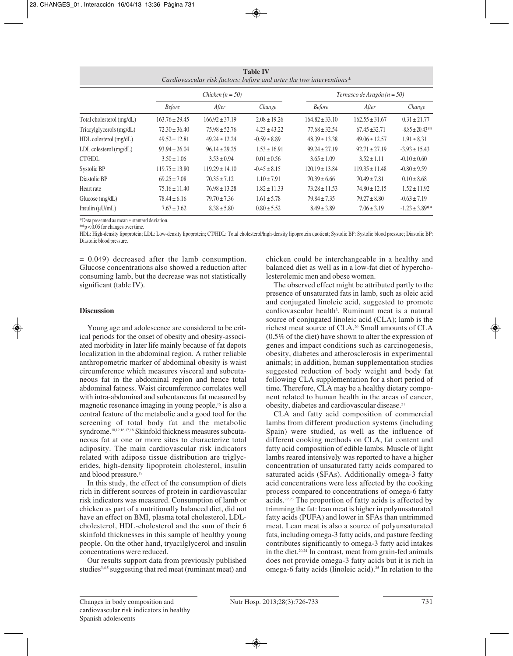| <b>Table IV</b><br>Cardiovascular risk factors: before and arter the two interventions* |                    |                    |                  |                                 |                    |                     |
|-----------------------------------------------------------------------------------------|--------------------|--------------------|------------------|---------------------------------|--------------------|---------------------|
|                                                                                         | Chicken $(n = 50)$ |                    |                  | Ternasco de Aragón ( $n = 50$ ) |                    |                     |
|                                                                                         | <b>Before</b>      | After              | Change           | <b>Before</b>                   | After              | Change              |
| Total cholesterol (mg/dL)                                                               | $163.76 \pm 29.45$ | $166.92 \pm 37.19$ | $2.08 \pm 19.26$ | $164.82 \pm 33.10$              | $162.55 \pm 31.67$ | $0.31 \pm 21.77$    |
| Triacylglycerols (mg/dL)                                                                | $72.30 \pm 36.40$  | $75.98 \pm 52.76$  | $4.23 \pm 43.22$ | $77.68 \pm 32.54$               | $67.45 \pm 32.71$  | $-8.85 \pm 20.43**$ |
| $HDL$ colesterol $(mg/dL)$                                                              | $49.52 \pm 12.81$  | $49.24 \pm 12.24$  | $-0.59 \pm 8.89$ | $48.39 \pm 13.38$               | $49.06 \pm 12.57$  | $1.91 \pm 8.31$     |
| $LDL$ colesterol $(mg/dL)$                                                              | $93.94 \pm 26.04$  | $96.14 \pm 29.25$  | $1.53 \pm 16.91$ | $99.24 \pm 27.19$               | $92.71 \pm 27.19$  | $-3.93 \pm 15.43$   |
| CT/HDL                                                                                  | $3.50 \pm 1.06$    | $3.53 \pm 0.94$    | $0.01 \pm 0.56$  | $3.65 \pm 1.09$                 | $3.52 \pm 1.11$    | $-0.10 \pm 0.60$    |
| Systolic BP                                                                             | $119.75 \pm 13.80$ | $119.29 \pm 14.10$ | $-0.45 \pm 8.15$ | $120.19 \pm 13.84$              | $119.35 \pm 11.48$ | $-0.80 \pm 9.59$    |
| Diastolic BP                                                                            | $69.25 \pm 7.08$   | $70.35 \pm 7.12$   | $1.10 \pm 7.91$  | $70.39 \pm 6.66$                | $70.49 \pm 7.81$   | $0.10 \pm 8.68$     |
| Heart rate                                                                              | $75.16 \pm 11.40$  | $76.98 \pm 13.28$  | $1.82 \pm 11.33$ | $73.28 \pm 11.53$               | $74.80 \pm 12.15$  | $1.52 \pm 11.92$    |
| Glucose (mg/dL)                                                                         | $78.44 \pm 6.16$   | $79.70 \pm 7.36$   | $1.61 \pm 5.78$  | $79.84 \pm 7.35$                | $79.27 \pm 8.80$   | $-0.63 \pm 7.19$    |
| Insulin $(uU/mL)$                                                                       | $7.67 \pm 3.62$    | $8.38 \pm 5.80$    | $0.80 \pm 5.52$  | $8.49 \pm 3.89$                 | $7.06 \pm 3.19$    | $-1.23 \pm 3.89$ ** |

\*Data presented as mean ± stantard deviation.

\*\*p <  $0.05$  for changes over time.

HDL: High-density lipoprotein; LDL: Low-density lipoprotein; CT/HDL: Total cholesterol/high-density lipoprotein quotient; Systolic BP: Systolic blood pressure; Diastolic BP: Diastolic blood pressure.

 $= 0.049$ ) decreased after the lamb consumption. Glucose concentrations also showed a reduction after consuming lamb, but the decrease was not statistically significant (table IV).

# **Discussion**

Young age and adolescence are considered to be critical periods for the onset of obesity and obesity-associated morbidity in later life mainly because of fat depots localization in the abdominal region. A rather reliable anthropometric marker of abdominal obesity is waist circumference which measures visceral and subcutaneous fat in the abdominal region and hence total abdominal fatness. Waist circumference correlates well with intra-abdominal and subcutaneous fat measured by magnetic resonance imaging in young people,15 is also a central feature of the metabolic and a good tool for the screening of total body fat and the metabolic syndrome.<sup>10,12,16,17,18</sup> Skinfold thickness measures subcutaneous fat at one or more sites to characterize total adiposity. The main cardiovascular risk indicators related with adipose tissue distribution are triglycerides, high-density lipoprotein cholesterol, insulin and blood pressure.19

In this study, the effect of the consumption of diets rich in different sources of protein in cardiovascular risk indicators was measured. Consumption of lamb or chicken as part of a nutritionally balanced diet, did not have an effect on BMI, plasma total cholesterol, LDLcholesterol, HDL-cholesterol and the sum of their 6 skinfold thicknesses in this sample of healthy young people. On the other hand, tryacilglycerol and insulin concentrations were reduced.

Our results support data from previously published studies<sup>3,4,5</sup> suggesting that red meat (ruminant meat) and

chicken could be interchangeable in a healthy and balanced diet as well as in a low-fat diet of hypercholesterolemic men and obese women.

The observed effect might be attributed partly to the presence of unsaturated fats in lamb, such as oleic acid and conjugated linoleic acid, suggested to promote cardiovascular health<sup>3</sup>. Ruminant meat is a natural source of conjugated linoleic acid (CLA); lamb is the richest meat source of CLA.20 Small amounts of CLA (0.5% of the diet) have shown to alter the expression of genes and impact conditions such as carcinogenesis, obesity, diabetes and atherosclerosis in experimental animals; in addition, human supplementation studies suggested reduction of body weight and body fat following CLA supplementation for a short period of time. Therefore, CLA may be a healthy dietary component related to human health in the areas of cancer, obesity, diabetes and cardiovascular disease.21

CLA and fatty acid composition of commercial lambs from different production systems (including Spain) were studied, as well as the influence of different cooking methods on CLA, fat content and fatty acid composition of edible lambs. Muscle of light lambs reared intensively was reported to have a higher concentration of unsaturated fatty acids compared to saturated acids (SFAs). Additionally omega-3 fatty acid concentrations were less affected by the cooking process compared to concentrations of omega-6 fatty acids.22,23 The proportion of fatty acids is affected by trimming the fat: lean meat is higher in polyunsaturated fatty acids (PUFA) and lower in SFAs than untrimmed meat. Lean meat is also a source of polyunsaturated fats, including omega-3 fatty acids, and pasture feeding contributes significantly to omega-3 fatty acid intakes in the diet.20,24 In contrast, meat from grain-fed animals does not provide omega-3 fatty acids but it is rich in omega-6 fatty acids (linoleic acid).25 In relation to the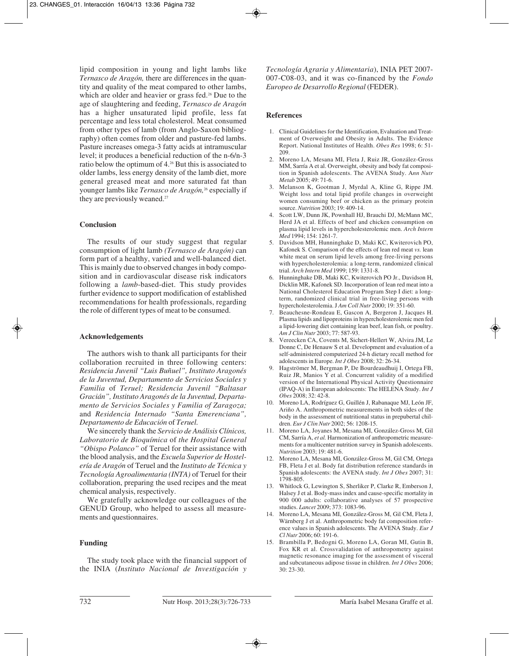lipid composition in young and light lambs like *Ternasco de Aragón,* there are differences in the quantity and quality of the meat compared to other lambs, which are older and heavier or grass fed.<sup>26</sup> Due to the age of slaughtering and feeding, *Ternasco de Aragón* has a higher unsaturated lipid profile, less fat percentage and less total cholesterol. Meat consumed from other types of lamb (from Anglo-Saxon bibliography) often comes from older and pasture-fed lambs. Pasture increases omega-3 fatty acids at intramuscular level; it produces a beneficial reduction of the n-6/n-3 ratio below the optimum of 4.26 But this is associated to older lambs, less energy density of the lamb diet, more general greased meat and more saturated fat than younger lambs like *Ternasco de Aragón,*<sup>26</sup> especially if they are previously weaned.<sup>27</sup>

# **Conclusion**

The results of our study suggest that regular consumption of light lamb *(Ternasco de Aragón)* can form part of a healthy, varied and well-balanced diet. This is mainly due to observed changes in body composition and in cardiovascular disease risk indicators following a *lamb*-based-diet. This study provides further evidence to support modification of established recommendations for health professionals, regarding the role of different types of meat to be consumed.

# **Acknowledgements**

The authors wish to thank all participants for their collaboration recruited in three following centers: *Residencia Juvenil "Luis Buñuel", Instituto Aragonés de la Juventud, Departamento de Servicios Sociales y Familia* of *Teruel; Residencia Juvenil "Baltasar Gracián", Instituto Aragonés de la Juventud, Departamento de Servicios Sociales y Familia of Zaragoza;* and *Residencia Internado "Santa Emerenciana", Departamento de Educación* of *Teruel.*

We sincerely thank the *Servicio de Análisis Clínicos, Laboratorio de Bioquímica* of *the Hospital General "Obispo Polanco"* of Teruel for their assistance with the blood analysis, and the *Escuela Superior de Hostelería de Aragón* of Teruel and the *Instituto de Técnica y Tecnología Agroalimentaria (INTA)* of Teruel for their collaboration, preparing the used recipes and the meat chemical analysis, respectively.

We gratefully acknowledge our colleagues of the GENUD Group, who helped to assess all measurements and questionnaires.

# **Funding**

The study took place with the financial support of the INIA (*Instituto Nacional de Investigación y*

*Tecnología Agraria y Alimentaria*), INIA PET 2007- 007-C08-03, and it was co-financed by the *Fondo Europeo de Desarrollo Regional* (FEDER).

## **References**

- 1. Clinical Guidelines for the Identification, Evaluation and Treatment of Overweight and Obesity in Adults. The Evidence Report. National Institutes of Health. *Obes Res* 1998; 6: 51- 209.
- 2. Moreno LA, Mesana MI, Fleta J, Ruiz JR, González-Gross MM, Sarría A et al. Overweight, obesity and body fat composition in Spanish adolescents. The AVENA Study. A*nn Nutr Metab* 2005; 49: 71-6.
- 3. Melanson K, Gootman J, Myrdal A, Kline G, Rippe JM. Weight loss and total lipid profile changes in overweight women consuming beef or chicken as the primary protein source. *Nutrition* 2003; 19: 409-14.
- 4. Scott LW, Dunn JK, Pownhall HJ, Brauchi DJ, McMann MC, Herd JA et al. Effects of beef and chicken consumption on plasma lipid levels in hypercholesterolemic men. *Arch Intern Med* 1994; 154: 1261-7.
- 5. Davidson MH, Hunninghake D, Maki KC, Kwiterovich PO, Kafonek S. Comparison of the effects of lean red meat *vs.* lean white meat on serum lipid levels among free-living persons with hypercholesterolemia: a long-term, randomized clinical trial. *Arch Intern Med* 1999; 159: 1331-8.
- 6. Hunninghake DB, Maki KC, Kwiterovich PO Jr., Davidson H, Dicklin MR, Kafonek SD. Incorporation of lean red meat into a National Cholesterol Education Program Step I diet: a longterm, randomized clinical trial in free-living persons with hypercholesterolemia. J *Am Coll Nutr* 2000; 19: 351-60.
- 7. Beauchesne-Rondeau E, Gascon A, Bergeron J, Jacques H. Plasma lipids and lipoproteins in hypercholesterolemic men fed a lipid-lowering diet containing lean beef, lean fish, or poultry. *Am J Clin Nutr* 2003; 77: 587-93.
- 8. Vereecken CA, Covents M, Sichert-Hellert W, Alvira JM, Le Donne C, De Henauw S et al. Development and evaluation of a self-administered computerized 24-h dietary recall method for adolescents in Europe. *Int J Obes* 2008; 32: 26-34.
- 9. Hagströmer M, Bergman P, De Bourdeaudhuij I, Ortega FB, Ruiz JR, Manios Y et al. Concurrent validity of a modified version of the International Physical Activity Questionnaire (IPAQ-A) in European adolescents: The HELENA Study. *Int J Obes* 2008; 32: 42-8.
- 10. Moreno LA, Rodríguez G, Guillén J, Rabanaque MJ, León JF, Ariño A. Anthropometric measurements in both sides of the body in the assessment of nutritional status in prepubertal children. *Eur J Clin Nutr* 2002; 56: 1208-15.
- 11. Moreno LA, Joyanes M, Mesana MI, González-Gross M, Gil CM, Sarría A, *et al.* Harmonization of anthropometric measurements for a multicenter nutrition survey in Spanish adolescents. *Nutrition* 2003; 19: 481-6.
- 12. Moreno LA, Mesana MI, González-Gross M, Gil CM, Ortega FB, Fleta J et al. Body fat distribution reference standards in Spanish adolescents: the AVENA study. *Int J Obes* 2007; 31: 1798-805.
- 13. Whitlock G, Lewington S, Sherliker P, Clarke R, Emberson J, Halsey J et al. Body-mass index and cause-specific mortality in 900 000 adults: collaborative analyses of 57 prospective studies. *Lancet* 2009; 373: 1083-96.
- 14. Moreno LA, Mesana MI, González-Gross M, Gil CM, Fleta J, Wärnberg J et al. Anthropometric body fat composition reference values in Spanish adolescents. The AVENA Study. *Eur J Cl Nutr* 2006; 60: 191-6.
- 15. Brambilla P, Bedogni G, Moreno LA, Goran MI, Gutin B, Fox KR et al. Crossvalidation of anthropometry against magnetic resonance imaging for the assessment of visceral and subcutaneous adipose tissue in children. *Int J Obes* 2006; 30: 23-30.